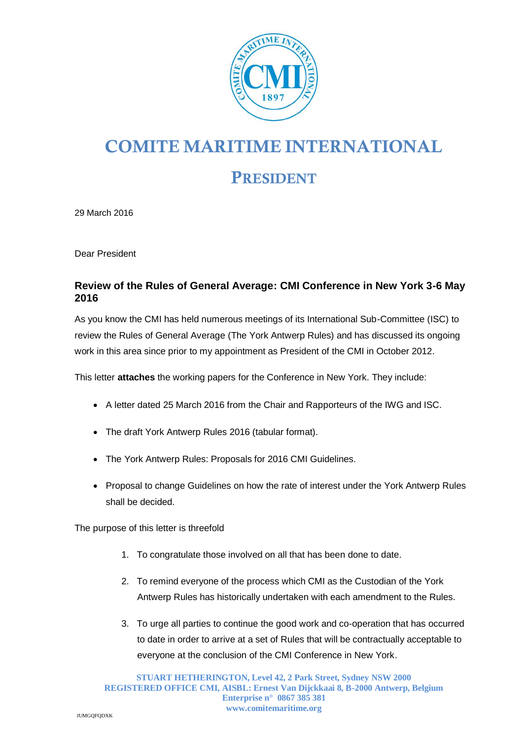

## **COMITE MARITIME INTERNATIONAL**

## **PRESIDENT**

29 March 2016

Dear President

## **Review of the Rules of General Average: CMI Conference in New York 3-6 May 2016**

As you know the CMI has held numerous meetings of its International Sub-Committee (ISC) to review the Rules of General Average (The York Antwerp Rules) and has discussed its ongoing work in this area since prior to my appointment as President of the CMI in October 2012.

This letter **attaches** the working papers for the Conference in New York. They include:

- A letter dated 25 March 2016 from the Chair and Rapporteurs of the IWG and ISC.
- The draft York Antwerp Rules 2016 (tabular format).
- The York Antwerp Rules: Proposals for 2016 CMI Guidelines.
- Proposal to change Guidelines on how the rate of interest under the York Antwerp Rules shall be decided.

The purpose of this letter is threefold

- 1. To congratulate those involved on all that has been done to date.
- 2. To remind everyone of the process which CMI as the Custodian of the York Antwerp Rules has historically undertaken with each amendment to the Rules.
- 3. To urge all parties to continue the good work and co-operation that has occurred to date in order to arrive at a set of Rules that will be contractually acceptable to everyone at the conclusion of the CMI Conference in New York.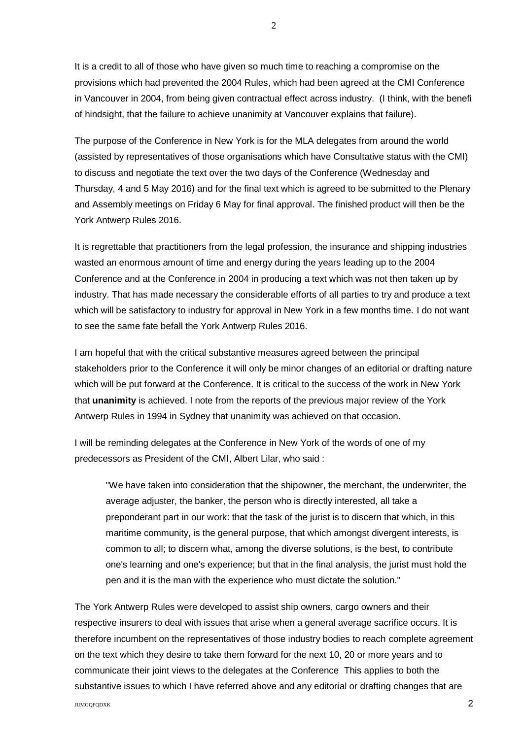It is a credit to all of those who have given so much time to reaching a compromise on the provisions which had prevented the 2004 Rules, which had been agreed at the CMI Conference in Vancouver in 2004, from being given contractual effect across industry. (I think, with the benefi of hindsight, that the failure to achieve unanimity at Vancouver explains that failure).

The purpose of the Conference in New York is for the MLA delegates from around the world (assisted by representatives of those organisations which have Consultative status with the CMI) to discuss and negotiate the text over the two days of the Conference (Wednesday and Thursday, 4 and 5 May 2016) and for the final text which is agreed to be submitted to the Plenary and Assembly meetings on Friday 6 May for final approval. The finished product will then be the York Antwerp Rules 2016.

It is regrettable that practitioners from the legal profession, the insurance and shipping industries wasted an enormous amount of time and energy during the years leading up to the 2004 Conference and at the Conference in 2004 in producing a text which was not then taken up by industry. That has made necessary the considerable efforts of all parties to try and produce a text which will be satisfactory to industry for approval in New York in a few months time. I do not want to see the same fate befall the York Antwerp Rules 2016.

I am hopeful that with the critical substantive measures agreed between the principal stakeholders prior to the Conference it will only be minor changes of an editorial or drafting nature which will be put forward at the Conference. It is critical to the success of the work in New York that **unanimity** is achieved. I note from the reports of the previous major review of the York Antwerp Rules in 1994 in Sydney that unanimity was achieved on that occasion.

I will be reminding delegates at the Conference in New York of the words of one of my predecessors as President of the CMI, Albert Lilar, who said :

"We have taken into consideration that the shipowner, the merchant, the underwriter, the average adjuster, the banker, the person who is directly interested, all take a preponderant part in our work: that the task of the jurist is to discern that which, in this maritime community, is the general purpose, that which amongst divergent interests, is common to all; to discern what, among the diverse solutions, is the best, to contribute one's learning and one's experience; but that in the final analysis, the jurist must hold the pen and it is the man with the experience who must dictate the solution."

The York Antwerp Rules were developed to assist ship owners, cargo owners and their respective insurers to deal with issues that arise when a general average sacrifice occurs. It is therefore incumbent on the representatives of those industry bodies to reach complete agreement on the text which they desire to take them forward for the next 10, 20 or more years and to communicate their joint views to the delegates at the Conference This applies to both the substantive issues to which I have referred above and any editorial or drafting changes that are

2